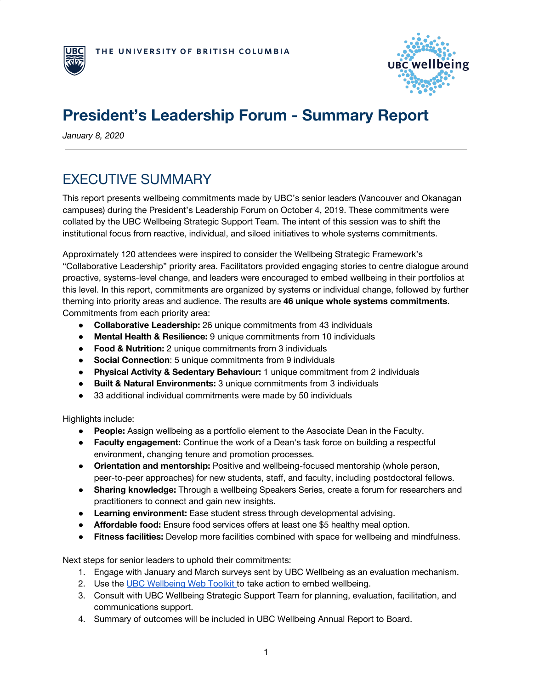



# **President's Leadership Forum - Summary Report**

*January 8, 2020*

## EXECUTIVE SUMMARY

This report presents wellbeing commitments made by UBC's senior leaders (Vancouver and Okanagan campuses) during the President's Leadership Forum on October 4, 2019. These commitments were collated by the UBC Wellbeing Strategic Support Team. The intent of this session was to shift the institutional focus from reactive, individual, and siloed initiatives to whole systems commitments.

Approximately 120 attendees were inspired to consider the Wellbeing Strategic Framework's "Collaborative Leadership" priority area. Facilitators provided engaging stories to centre dialogue around proactive, systems-level change, and leaders were encouraged to embed wellbeing in their portfolios at this level. In this report, commitments are organized by systems or individual change, followed by further theming into priority areas and audience. The results are **46 unique whole systems commitments**. Commitments from each priority area:

- **Collaborative Leadership:** 26 unique commitments from 43 individuals
- **Mental Health & Resilience:** 9 unique commitments from 10 individuals
- **Food & Nutrition:** 2 unique commitments from 3 individuals
- **Social Connection**: 5 unique commitments from 9 individuals
- **Physical Activity & Sedentary Behaviour:** 1 unique commitment from 2 individuals
- **Built & Natural Environments:** 3 unique commitments from 3 individuals
- 33 additional individual commitments were made by 50 individuals

Highlights include:

- **People:** Assign wellbeing as a portfolio element to the Associate Dean in the Faculty.
- **Faculty engagement:** Continue the work of a Dean's task force on building a respectful environment, changing tenure and promotion processes.
- **Orientation and mentorship:** Positive and wellbeing-focused mentorship (whole person, peer-to-peer approaches) for new students, staff, and faculty, including postdoctoral fellows.
- **Sharing knowledge:** Through a wellbeing Speakers Series, create a forum for researchers and practitioners to connect and gain new insights.
- **Learning environment:** Ease student stress through developmental advising.
- **Affordable food:** Ensure food services offers at least one \$5 healthy meal option.
- **Fitness facilities:** Develop more facilities combined with space for wellbeing and mindfulness.

Next steps for senior leaders to uphold their commitments:

- 1. Engage with January and March surveys sent by UBC Wellbeing as an evaluation mechanism.
- 2. Use the UBC [Wellbeing](https://ubc.igloocommunities.com/wellbeing/activation_toolkit/home) Web Toolkit to take action to embed wellbeing.
- 3. Consult with UBC Wellbeing Strategic Support Team for planning, evaluation, facilitation, and communications support.
- 4. Summary of outcomes will be included in UBC Wellbeing Annual Report to Board.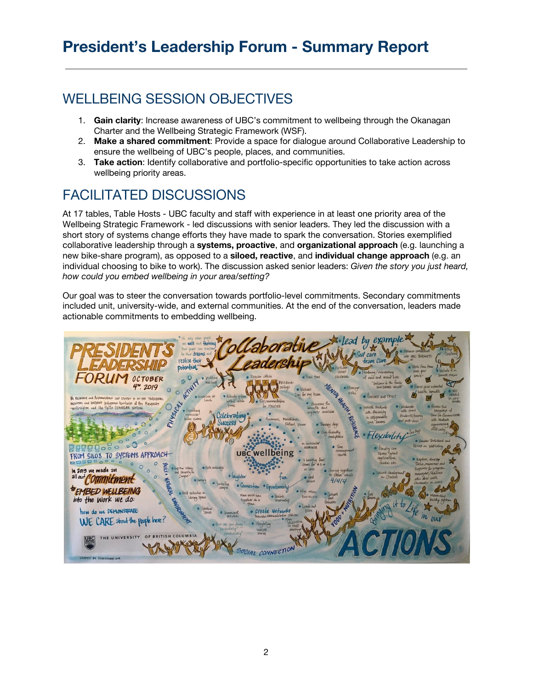### WELLBEING SESSION OBJECTIVES

- 1. **Gain clarity**: Increase awareness of UBC's commitment to wellbeing through the Okanagan Charter and the Wellbeing Strategic Framework (WSF).
- 2. **Make a shared commitment**: Provide a space for dialogue around Collaborative Leadership to ensure the wellbeing of UBC's people, places, and communities.
- 3. **Take action**: Identify collaborative and portfolio-specific opportunities to take action across wellbeing priority areas.

## FACILITATED DISCUSSIONS

At 17 tables, Table Hosts - UBC faculty and staff with experience in at least one priority area of the Wellbeing Strategic Framework - led discussions with senior leaders. They led the discussion with a short story of systems change efforts they have made to spark the conversation. Stories exemplified collaborative leadership through a **systems, proactive**, and **organizational approach** (e.g. launching a new bike-share program), as opposed to a **siloed, reactive**, and **individual change approach** (e.g. an individual choosing to bike to work). The discussion asked senior leaders: *Given the story you just heard, how could you embed wellbeing in your area/setting?*

Our goal was to steer the conversation towards portfolio-level commitments. Secondary commitments included unit, university-wide, and external communities. At the end of the conversation, leaders made actionable commitments to embedding wellbeing.

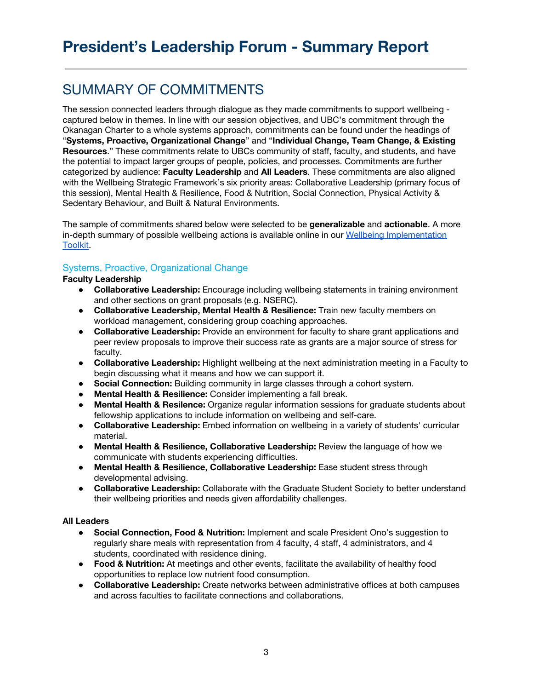## SUMMARY OF COMMITMENTS

The session connected leaders through dialogue as they made commitments to support wellbeing captured below in themes. In line with our session objectives, and UBC's commitment through the Okanagan Charter to a whole systems approach, commitments can be found under the headings of "**Systems, Proactive, Organizational Change**" and "**Individual Change, Team Change, & Existing Resources**." These commitments relate to UBCs community of staff, faculty, and students, and have the potential to impact larger groups of people, policies, and processes. Commitments are further categorized by audience: **Faculty Leadership** and **All Leaders**. These commitments are also aligned with the Wellbeing Strategic Framework's six priority areas: Collaborative Leadership (primary focus of this session), Mental Health & Resilience, Food & Nutrition, Social Connection, Physical Activity & Sedentary Behaviour, and Built & Natural Environments.

The sample of commitments shared below were selected to be **generalizable** and **actionable**. A more in-depth summary of possible wellbeing actions is available online in our Wellbeing [Implementation](https://ubc.igloocommunities.com/wellbeing/activation_toolkit/home) [Toolkit.](https://ubc.igloocommunities.com/wellbeing/activation_toolkit/home)

### Systems, Proactive, Organizational Change

#### **Faculty Leadership**

- **Collaborative Leadership:** Encourage including wellbeing statements in training environment and other sections on grant proposals (e.g. NSERC).
- **Collaborative Leadership, Mental Health & Resilience:** Train new faculty members on workload management, considering group coaching approaches.
- **Collaborative Leadership:** Provide an environment for faculty to share grant applications and peer review proposals to improve their success rate as grants are a major source of stress for faculty.
- **Collaborative Leadership:** Highlight wellbeing at the next administration meeting in a Faculty to begin discussing what it means and how we can support it.
- **Social Connection:** Building community in large classes through a cohort system.
- **Mental Health & Resilience:** Consider implementing a fall break.
- **Mental Health & Resilence:** Organize regular information sessions for graduate students about fellowship applications to include information on wellbeing and self-care.
- **Collaborative Leadership:** Embed information on wellbeing in a variety of students' curricular material.
- **Mental Health & Resilience, Collaborative Leadership:** Review the language of how we communicate with students experiencing difficulties.
- **Mental Health & Resilience, Collaborative Leadership:** Ease student stress through developmental advising.
- **Collaborative Leadership:** Collaborate with the Graduate Student Society to better understand their wellbeing priorities and needs given affordability challenges.

#### **All Leaders**

- *●* **Social Connection, Food & Nutrition:** Implement and scale President Ono's suggestion to regularly share meals with representation from 4 faculty, 4 staff, 4 administrators, and 4 students, coordinated with residence dining.
- **Food & Nutrition:** At meetings and other events, facilitate the availability of healthy food opportunities to replace low nutrient food consumption.
- **Collaborative Leadership:** Create networks between administrative offices at both campuses and across faculties to facilitate connections and collaborations.